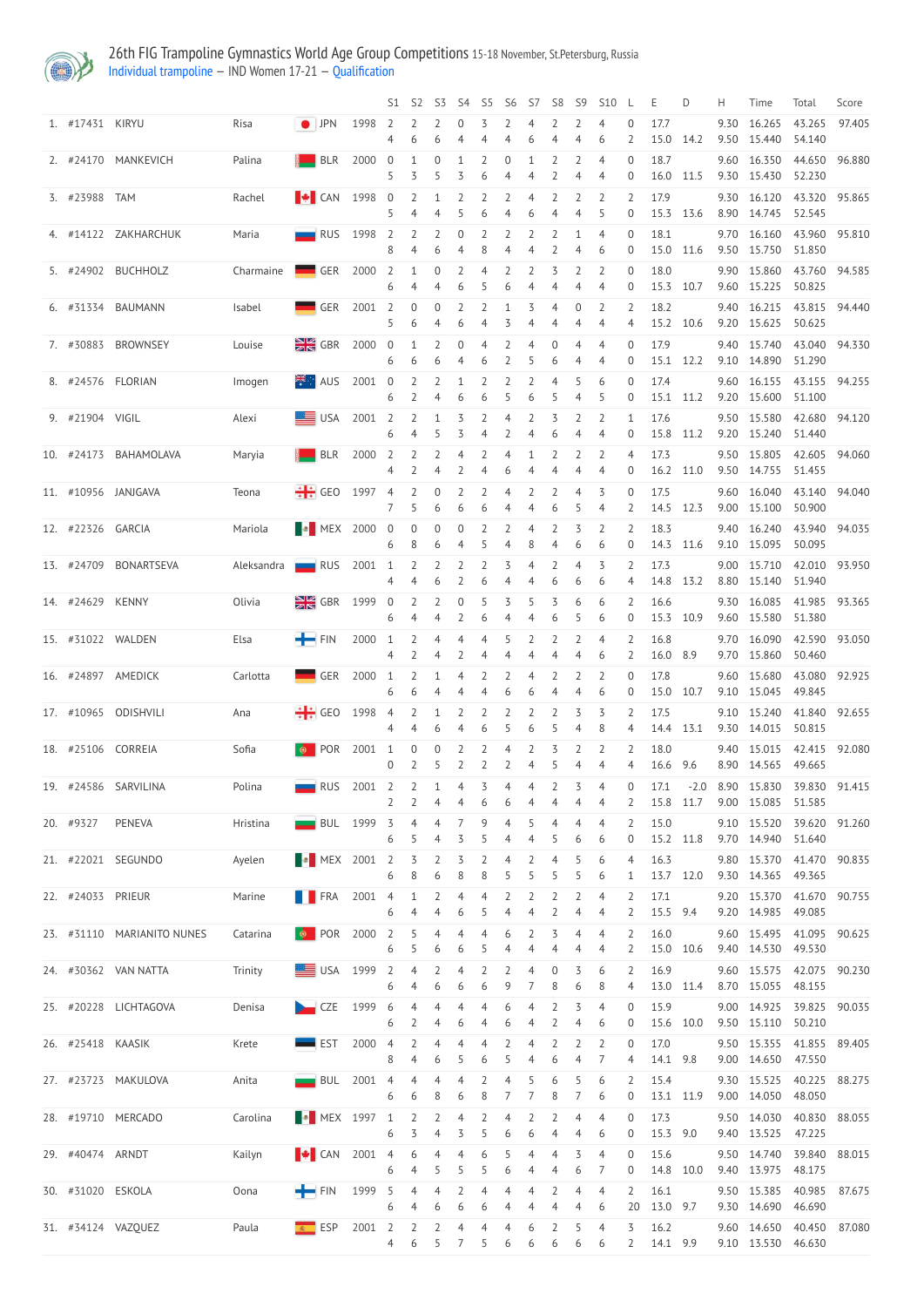

26th FIG Trampoline Gymnastics World Age Group Competitions 15-18 November, St.Petersburg, Russia Individual [trampoline](http://192.168.1.10:9001/event/TRA) — IND Women 17-21 — [Qualification](http://192.168.1.10:9001/stages/26)

|                   |                            |            |                                  |            | S1                  | S <sub>2</sub>        | S3                  | S4                               | S5                               | S6                               | S7                               | S8                  | S9                  | S <sub>10</sub>     |                            | Ε                 | D              | H. | Time                                            | Total                   | Score  |
|-------------------|----------------------------|------------|----------------------------------|------------|---------------------|-----------------------|---------------------|----------------------------------|----------------------------------|----------------------------------|----------------------------------|---------------------|---------------------|---------------------|----------------------------|-------------------|----------------|----|-------------------------------------------------|-------------------------|--------|
| 1. #17431 KIRYU   |                            | Risa       | $\bullet$ JPN                    | 1998 2     | 4                   | 2<br>6                | $\overline{2}$<br>6 | $\Omega$<br>4                    | 3<br>4                           | 2<br>4                           | $\overline{4}$<br>6              | 2<br>4              | 2<br>4              | $\overline{4}$<br>6 | 0<br>2                     | 17.7              | 15.0 14.2      |    | 9.30 16.265<br>9.50 15.440                      | 43.265<br>54.140        | 97.405 |
|                   | 2. #24170 MANKEVICH        | Palina     | <b>BLR</b>                       | 2000       | $\overline{0}$<br>5 | $\mathbf{1}$<br>3     | $\Omega$<br>5       | 3                                | $\mathcal{L}$<br>6               | $\Omega$<br>4                    | 1<br>4                           | $\mathcal{L}$<br>2  | $\mathcal{L}$<br>4  | $\overline{4}$<br>4 | $\Omega$<br>0              | 18.7<br>16.0 11.5 |                |    | 9.60 16.350<br>9.30 15.430                      | 44.650 96.880<br>52.230 |        |
| 3. #23988 TAM     |                            | Rachel     | $\bullet$ CAN 1998 0             |            | 5                   | 2<br>4                | 1                   | $\overline{2}$<br>5              | $\overline{2}$<br>6              | $\overline{2}$<br>4              | $\overline{4}$<br>6              | $\overline{2}$<br>4 | $\overline{2}$<br>4 | 2<br>5              | 2<br>$\Omega$              | 17.9<br>15.3 13.6 |                |    | 9.30 16.120 43.320 95.865<br>8.90 14.745        | 52.545                  |        |
|                   | 4. #14122 ZAKHARCHUK       | Maria      |                                  | RUS 1998 2 | 8                   | 2                     | 2<br>6              | $\overline{0}$<br>4              | 2<br>8                           | 2<br>4                           | $\overline{2}$<br>4              | $\overline{2}$<br>2 |                     | $\overline{4}$<br>6 | $\Omega$<br>0              | 18.1<br>15.0 11.6 |                |    | 9.70 16.160<br>9.50 15.750 51.850               | 43.960 95.810           |        |
| 5. #24902         | <b>BUCHHOLZ</b>            | Charmaine  |                                  | GER 2000 2 | 6                   | $\mathbf{1}$<br>4     | $\overline{0}$<br>4 | $\overline{2}$<br>6              | $\overline{4}$<br>5              | $\overline{2}$<br>6              | $\overline{2}$<br>4              | 3<br>4              | $\overline{2}$<br>4 | 2<br>4              | $\Omega$<br>0              | 18.0<br>15.3 10.7 |                |    | 9.90 15.860<br>9.60 15.225                      | 43.760 94.585<br>50.825 |        |
|                   | 6. #31334 BAUMANN          | Isabel     |                                  | GER 2001 2 | 5                   | $\overline{0}$<br>6   | $\overline{0}$<br>4 | 2<br>6                           | $\overline{2}$<br>4              | $\mathbf{1}$<br>3                | 3<br>4                           | $\overline{4}$<br>4 | 0<br>4              | 2<br>4              | 2<br>4                     | 18.2<br>15.2 10.6 |                |    | 9.40 16.215<br>9.20 15.625                      | 43.815 94.440<br>50.625 |        |
|                   | 7. #30883 BROWNSEY         | Louise     | $\frac{N}{\sqrt{N}}$ GBR 2000 0  |            | 6                   | $\mathbf{1}$<br>6     | $\overline{2}$<br>6 | $\Omega$<br>4                    | $\overline{4}$<br>6              | $\overline{2}$<br>2              | $\overline{4}$<br>-5             | 6                   | 4                   | $\overline{4}$<br>4 | $\Omega$<br>0              | 17.9<br>15.1 12.2 |                |    | 9.40 15.740<br>9.10 14.890                      | 43.040 94.330<br>51.290 |        |
|                   | 8. #24576 FLORIAN          | Imogen     | <sup>¥€</sup> ∵ AUS              | 2001 0     | 6                   | $\overline{2}$<br>2   | $\overline{2}$<br>4 | $\mathbf{1}$<br>6                | $\overline{2}$<br>6              | $\overline{2}$<br>5              | $\overline{2}$<br>6              | $\overline{4}$<br>5 | 5<br>4              | 6<br>5              | $\Omega$<br>$\Omega$       | 17.4<br>15.1 11.2 |                |    | 9.60 16.155 43.155 94.255<br>9.20 15.600 51.100 |                         |        |
| 9. #21904 VIGIL   |                            | Alexi      | USA 2001 2                       |            | 6                   | $\overline{2}$<br>4   | $\mathbf{1}$<br>5   | $\overline{3}$<br>3              | $\overline{2}$<br>4              | $\overline{4}$<br>2              | $\overline{2}$<br>$\overline{4}$ | 3<br>6              | 2<br>4              | $\overline{2}$<br>4 | $\mathbf{1}$<br>0          | 17.6<br>15.8 11.2 |                |    | 9.50 15.580<br>9.20 15.240                      | 42.680 94.120<br>51.440 |        |
|                   | 10. #24173 BAHAMOLAVA      | Maryia     | <b>BLR</b>                       | 2000       | $\overline{2}$<br>4 | 2                     | 2<br>4              | $\overline{4}$<br>$\overline{2}$ | 2<br>4                           | $\overline{4}$<br>6              |                                  | 4                   | 2<br>4              | 2<br>4              | $\overline{4}$<br>0        | 17.3<br>16.2 11.0 |                |    | 9.50 15.805<br>9.50 14.755 51.455               | 42.605 94.060           |        |
|                   | 11. #10956 JANJGAVA        | Teona      | $\div$ GEO 1997 4                |            | 7                   | $\overline{2}$<br>5   | $\overline{0}$<br>6 | $\mathbf{2}^{\prime}$<br>6       | $\overline{2}$<br>6              | $\overline{4}$<br>4              | $\overline{2}$<br>4              | 2<br>6              | 4<br>5              | 3<br>4              | 0<br>2                     | 17.5<br>14.5 12.3 |                |    | 9.60 16.040<br>9.00 15.100                      | 43.140 94.040<br>50.900 |        |
| 12. #22326 GARCIA |                            | Mariola    | <b>MEX 2000 0</b>                |            | 6                   | $\boldsymbol{0}$<br>8 | $\theta$<br>6       | $\Omega$<br>4                    | 2<br>5                           | 2<br>4                           | $\overline{4}$<br>8              | 2<br>4              | 3<br>6              | 2<br>6              | $\mathcal{L}$<br>0         | 18.3<br>14.3 11.6 |                |    | 9.40 16.240<br>9.10 15.095                      | 43.940 94.035<br>50.095 |        |
| 13. #24709        | <b>BONARTSEVA</b>          | Aleksandra | RUS 2001 1                       |            | 4                   | $\overline{2}$<br>4   | $\overline{2}$<br>6 | $\overline{2}$<br>2              | $\overline{2}$<br>6              | 3<br>$\overline{4}$              | $\overline{4}$<br>$\overline{4}$ | $\overline{2}$<br>6 | 4<br>6              | 3<br>6              | 2<br>4                     | 17.3<br>14.8 13.2 |                |    | 9.00 15.710<br>8.80 15.140 51.940               | 42.010 93.950           |        |
| 14. #24629 KENNY  |                            | Olivia     | $\frac{N}{N}$ GBR 1999 0         |            | 6                   | 2<br>4                | $\overline{2}$<br>4 | $\overline{0}$<br>2              | 5<br>6                           | $\overline{3}$<br>$\overline{4}$ | 5<br>$\overline{4}$              | 6                   |                     | 6<br>6              | 0                          | 16.6<br>15.3 10.9 |                |    | 9.30 16.085<br>9.60 15.580                      | 41.985 93.365<br>51.380 |        |
|                   | 15. #31022 WALDEN          | Elsa       | $\left  \frac{1}{2} \right $ FIN | 2000 1     | 4                   | $\overline{2}$<br>2   | 4<br>4              | $\overline{4}$<br>2              | $\overline{4}$<br>4              | 5<br>4                           | 2<br>4                           | 2<br>4              | $\overline{2}$      | $\overline{4}$<br>6 | $\overline{2}$<br>2        | 16.8<br>16.0 8.9  |                |    | 9.70 16.090 42.590 93.050<br>9.70 15.860        | 50.460                  |        |
|                   | 16. #24897 AMEDICK         | Carlotta   | GER                              | 2000 1     | 6                   | $\overline{2}$<br>6   | $\mathbf{1}$<br>4   | $\overline{4}$<br>4              | $\overline{2}$<br>4              | $\overline{2}$<br>6              | $\overline{4}$<br>6              | 2<br>4              | 2<br>4              | 2<br>6              | $\Omega$<br>0              | 17.8<br>15.0 10.7 |                |    | 9.60 15.680<br>9.10 15.045 49.845               | 43.080 92.925           |        |
|                   | 17. #10965 ODISHVILI       | Ana        | $\div$ GEO 1998 4                |            | 4                   | $\overline{2}$<br>4   | $\overline{1}$<br>6 | 4                                | $2 \quad 2 \quad 2$<br>6         | 5                                | $\overline{2}$<br>6              | $\overline{2}$<br>5 | 3<br>$\overline{4}$ | 3<br>8              | $\overline{2}$<br>4        | 17.5<br>14.4 13.1 |                |    | 9.10 15.240<br>9.30 14.015                      | 41.840 92.655<br>50.815 |        |
|                   | 18. #25106 CORREIA         | Sofia      | <b>•</b> POR 2001 1              |            | $\overline{0}$      | $\overline{0}$<br>2   | $\overline{0}$<br>5 | $\overline{2}$<br>$\mathbf{2}$   | $\overline{2}$<br>$\overline{2}$ | $\overline{4}$<br>$\overline{2}$ | $\overline{2}$<br>$\overline{4}$ | $\overline{3}$<br>5 | $\overline{2}$<br>4 | $\overline{2}$<br>4 | $\overline{2}$<br>4        | 18.0<br>16.6 9.6  |                |    | 9.40 15.015<br>8.90 14.565 49.665               | 42.415 92.080           |        |
|                   | 19. #24586 SARVILINA       | Polina     | RUS 2001 2                       |            | 2                   | $\overline{2}$<br>2   | 1<br>4              | $\overline{4}$<br>4              | $\overline{5}$<br>6              | $\overline{4}$<br>6              | $\overline{4}$<br>4              | $\overline{2}$<br>4 | 3<br>4              | $\overline{4}$<br>4 | $\Omega$<br>2              | 17.1<br>15.8      | $-2.0$<br>11.7 |    | 8.90 15.830<br>9.00 15.085                      | 39.830 91.415<br>51.585 |        |
| 20. #9327         | PENEVA                     | Hristina   | BUL 1999 3                       |            | 6                   | $\overline{4}$<br>5   | $\overline{4}$<br>4 | $\overline{7}$<br>3              | 9<br>5                           | $\overline{4}$<br>4              | 5<br>$\overline{4}$              | $\overline{4}$<br>5 | 4<br>6              | $\overline{4}$<br>6 | 2<br>0                     | 15.0<br>15.2 11.8 |                |    | 9.10 15.520 39.620 91.260<br>9.70 14.940 51.640 |                         |        |
|                   | 21. #22021 SEGUNDO         | Ayelen     | $\blacksquare$ MEX 2001 2        |            | 6                   | $\overline{3}$<br>8   | 2 <sub>5</sub><br>6 | 8                                | $\overline{2}$<br>8              | $\overline{4}$<br>5              | $\overline{2}$<br>5              | $\overline{4}$<br>5 | 5<br>5              | 6<br>6              | 4<br>1                     | 16.3<br>13.7 12.0 |                |    | 9.80 15.370 41.470 90.835<br>9.30 14.365 49.365 |                         |        |
| 22. #24033 PRIEUR |                            | Marine     | <b>FRA</b> 2001 4                |            | 6                   | 1<br>4                | $\overline{2}$<br>4 | $\overline{4}$<br>6              | $\overline{4}$<br>5              | $\overline{2}$<br>4              | 2<br>$\overline{4}$              | 2<br>2              | $\overline{2}$<br>4 | $\overline{4}$<br>4 | $\overline{2}$<br>2        | 17.1<br>15.5 9.4  |                |    | 9.20 15.370<br>9.20 14.985 49.085               | 41.670 90.755           |        |
|                   | 23. #31110 MARIANITO NUNES | Catarina   | <b>•</b> POR 2000 2              |            | 6                   | 5<br>5                | $\overline{4}$<br>6 | 4<br>6                           | $\overline{4}$<br>5              | 6<br>4                           | $\overline{2}$<br>4              | 3<br>4              | 4<br>4              | $\overline{4}$<br>4 | 2<br>2                     | 16.0<br>15.0 10.6 |                |    | 9.60 15.495 41.095 90.625<br>9.40 14.530 49.530 |                         |        |
|                   | 24. #30362 VAN NATTA       | Trinity    | USA 1999 2                       |            | 6                   | $\overline{4}$<br>4   | 2<br>6              | $\overline{4}$<br>6              | $\overline{2}$<br>6              | 2<br>9                           | $\overline{4}$<br>7              | $\overline{0}$<br>8 | 3<br>6              | 6<br>8              | $\overline{2}$<br>4        | 16.9              | 13.0 11.4      |    | 9.60 15.575 42.075 90.230<br>8.70 15.055 48.155 |                         |        |
|                   | 25. #20228 LICHTAGOVA      | Denisa     | CZE 1999 6                       |            | 6                   | $\overline{4}$<br>2   | $\overline{4}$<br>4 | $\overline{4}$<br>6              | $\overline{4}$<br>4              | 6<br>6                           | $\overline{4}$<br>4              | 2<br>2              | 3<br>4              | $\overline{4}$<br>6 | $\overline{0}$<br>$\Omega$ | 15.9<br>15.6 10.0 |                |    | 9.00 14.925<br>9.50 15.110 50.210               | 39.825 90.035           |        |
| 26. #25418 KAASIK |                            | Krete      | EST                              | 2000       | $\overline{4}$<br>8 | $\overline{2}$<br>4   | 4<br>6              | 4<br>5                           | 4<br>6                           | 2<br>5                           | $\overline{4}$<br>4              | $\overline{2}$<br>6 | $\overline{2}$<br>4 | $\overline{2}$<br>7 | $\Omega$<br>4              | 17.0<br>14.1 9.8  |                |    | 9.50 15.355<br>9.00 14.650 47.550               | 41.855 89.405           |        |
|                   | 27. #23723 MAKULOVA        | Anita      | BUL 2001 4                       |            | 6                   | 4                     | 4                   | $\overline{4}$<br>6              | 2<br>8                           | $\overline{4}$                   | 5                                | 6<br>8              | 5                   | 6<br>6              | 2<br>0                     | 15.4<br>13.1 11.9 |                |    | 9.30 15.525 40.225 88.275<br>9.00 14.050 48.050 |                         |        |
|                   | 28. #19710 MERCADO         | Carolina   | <b>MEX 1997 1</b>                |            | 6                   | 2                     | $\overline{2}$      | 4<br>3                           | 2<br>5                           | 4<br>6                           | 2<br>6                           | 2<br>4              | 4<br>4              | $\overline{4}$<br>6 | 0<br>0                     | 17.3<br>15.3 9.0  |                |    | 9.50 14.030<br>9.40 13.525                      | 40.830 88.055<br>47.225 |        |
| 29. #40474 ARNDT  |                            | Kailyn     | $\blacktriangleright$ CAN 2001   |            | $\overline{4}$<br>6 | 6                     | 4<br>5              | 4<br>5                           | 6<br>5                           | 6                                | 4                                | 4<br>4              | 3<br>6              | $\overline{4}$<br>7 | 0<br>0                     | 15.6<br>14.8 10.0 |                |    | 9.50 14.740<br>9.40 13.975 48.175               | 39.840 88.015           |        |
| 30. #31020 ESKOLA |                            | Oona       | $\blacksquare$ FIN               | 1999       | -5<br>6             | 4                     | 4<br>6              | 6                                | 6                                | 4                                |                                  | 2<br>4              | 4<br>4              | 4<br>6              | $\mathbf{2}$<br>20         | 16.1<br>13.0 9.7  |                |    | 9.50 15.385 40.985 87.675<br>9.30 14.690 46.690 |                         |        |
|                   | 31. #34124 VAZQUEZ         | Paula      | <u><sup>®</sup></u> ESP          | 2001 2     | 4                   | 6                     | 5                   | $\overline{7}$                   | 4<br>$5\overline{)}$             | 6                                | 6                                | 2<br>6              | 5<br>6              | 4<br>6              | 3<br>$\mathbf{2}$          | 16.2<br>14.1 9.9  |                |    | 9.60 14.650 40.450 87.080<br>9.10 13.530 46.630 |                         |        |